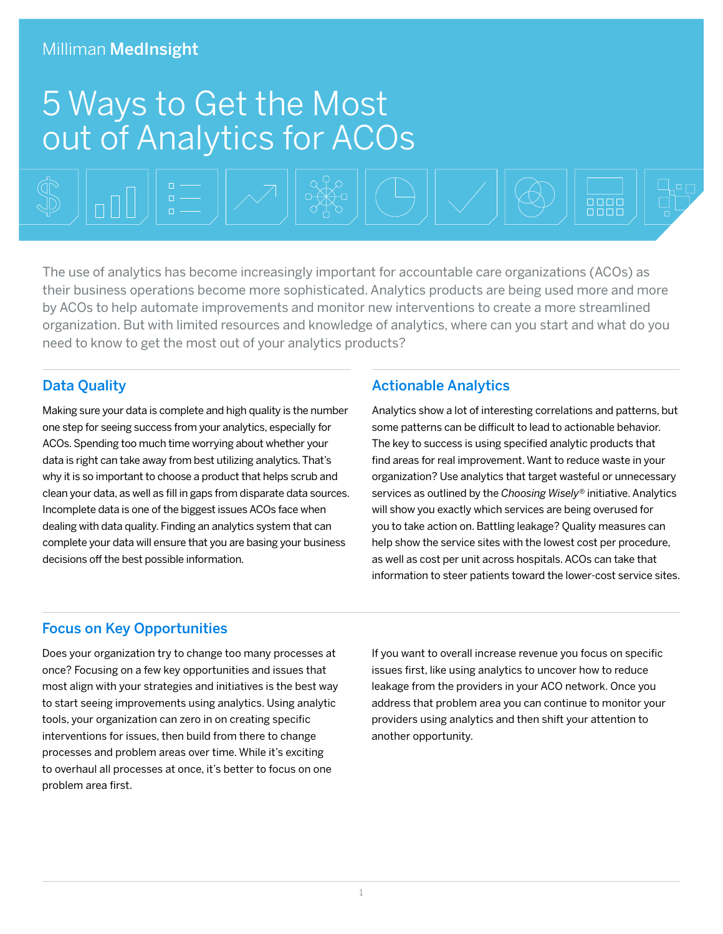#### Milliman MedInsight

# 5 Ways to Get the Most out of Analytics for ACOs

 $\overline{0000}$ The use of analytics has become increasingly important for accountable care organizations (ACOs) as

their business operations become more sophisticated. Analytics products are being used more and more by ACOs to help automate improvements and monitor new interventions to create a more streamlined organization. But with limited resources and knowledge of analytics, where can you start and what do you need to know to get the most out of your analytics products?

#### Data Quality

Making sure your data is complete and high quality is the number one step for seeing success from your analytics, especially for ACOs. Spending too much time worrying about whether your data is right can take away from best utilizing analytics. That's why it is so important to choose a product that helps scrub and clean your data, as well as fill in gaps from disparate data sources. Incomplete data is one of the biggest issues ACOs face when dealing with data quality. Finding an analytics system that can complete your data will ensure that you are basing your business decisions off the best possible information.

#### Actionable Analytics

Analytics show a lot of interesting correlations and patterns, but some patterns can be difficult to lead to actionable behavior. The key to success is using specified analytic products that find areas for real improvement. Want to reduce waste in your organization? Use analytics that target wasteful or unnecessary services as outlined by the *Choosing Wisely®* initiative. Analytics will show you exactly which services are being overused for you to take action on. Battling leakage? Quality measures can help show the service sites with the lowest cost per procedure, as well as cost per unit across hospitals. ACOs can take that information to steer patients toward the lower-cost service sites.

#### Focus on Key Opportunities

Does your organization try to change too many processes at once? Focusing on a few key opportunities and issues that most align with your strategies and initiatives is the best way to start seeing improvements using analytics. Using analytic tools, your organization can zero in on creating specific interventions for issues, then build from there to change processes and problem areas over time. While it's exciting to overhaul all processes at once, it's better to focus on one problem area first.

If you want to overall increase revenue you focus on specific issues first, like using analytics to uncover how to reduce leakage from the providers in your ACO network. Once you address that problem area you can continue to monitor your providers using analytics and then shift your attention to another opportunity.